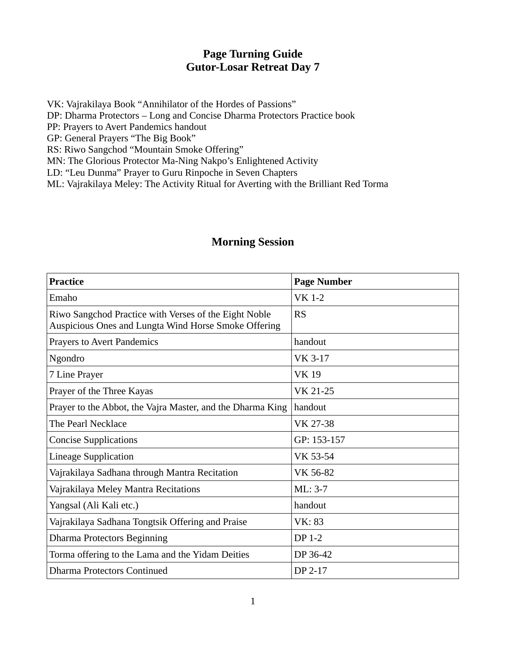## **Page Turning Guide Gutor-Losar Retreat Day 7**

VK: Vajrakilaya Book "Annihilator of the Hordes of Passions" DP: Dharma Protectors – Long and Concise Dharma Protectors Practice book PP: Prayers to Avert Pandemics handout GP: General Prayers "The Big Book" RS: Riwo Sangchod "Mountain Smoke Offering" MN: The Glorious Protector Ma-Ning Nakpo's Enlightened Activity

LD: "Leu Dunma" Prayer to Guru Rinpoche in Seven Chapters

ML: Vajrakilaya Meley: The Activity Ritual for Averting with the Brilliant Red Torma

## **Morning Session**

| <b>Practice</b>                                                                                               | <b>Page Number</b> |
|---------------------------------------------------------------------------------------------------------------|--------------------|
| Emaho                                                                                                         | <b>VK 1-2</b>      |
| Riwo Sangchod Practice with Verses of the Eight Noble<br>Auspicious Ones and Lungta Wind Horse Smoke Offering | <b>RS</b>          |
| <b>Prayers to Avert Pandemics</b>                                                                             | handout            |
| Ngondro                                                                                                       | VK 3-17            |
| 7 Line Prayer                                                                                                 | <b>VK19</b>        |
| Prayer of the Three Kayas                                                                                     | VK 21-25           |
| Prayer to the Abbot, the Vajra Master, and the Dharma King                                                    | handout            |
| The Pearl Necklace                                                                                            | VK 27-38           |
| <b>Concise Supplications</b>                                                                                  | GP: 153-157        |
| <b>Lineage Supplication</b>                                                                                   | VK 53-54           |
| Vajrakilaya Sadhana through Mantra Recitation                                                                 | VK 56-82           |
| Vajrakilaya Meley Mantra Recitations                                                                          | ML: 3-7            |
| Yangsal (Ali Kali etc.)                                                                                       | handout            |
| Vajrakilaya Sadhana Tongtsik Offering and Praise                                                              | <b>VK: 83</b>      |
| <b>Dharma Protectors Beginning</b>                                                                            | DP 1-2             |
| Torma offering to the Lama and the Yidam Deities                                                              | DP 36-42           |
| <b>Dharma Protectors Continued</b>                                                                            | DP 2-17            |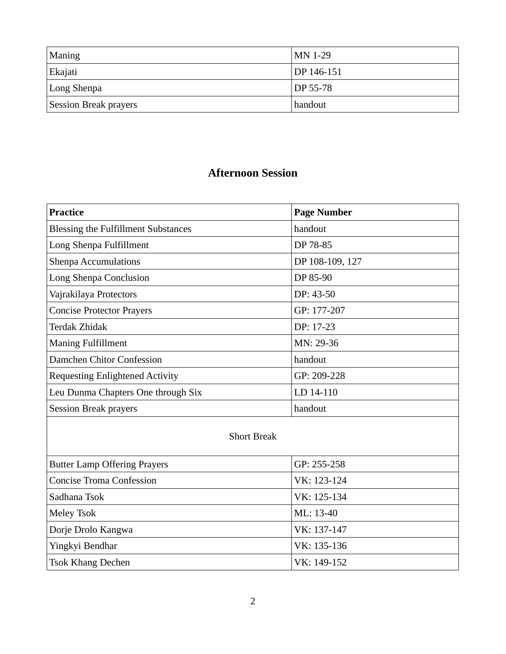| Maning                       | $MN$ 1-29             |
|------------------------------|-----------------------|
| Ekajati                      | DP 146-151            |
| Long Shenpa                  | $\overline{DP}$ 55-78 |
| <b>Session Break prayers</b> | handout               |

## **Afternoon Session**

| Practice                                   | <b>Page Number</b> |
|--------------------------------------------|--------------------|
| <b>Blessing the Fulfillment Substances</b> | handout            |
| Long Shenpa Fulfillment                    | DP 78-85           |
| <b>Shenpa Accumulations</b>                | DP 108-109, 127    |
| Long Shenpa Conclusion                     | DP 85-90           |
| Vajrakilaya Protectors                     | DP: 43-50          |
| <b>Concise Protector Prayers</b>           | GP: 177-207        |
| Terdak Zhidak                              | DP: 17-23          |
| <b>Maning Fulfillment</b>                  | MN: 29-36          |
| Damchen Chitor Confession                  | handout            |
| <b>Requesting Enlightened Activity</b>     | GP: 209-228        |
| Leu Dunma Chapters One through Six         | LD 14-110          |
| <b>Session Break prayers</b>               | handout            |

## Short Break

| <b>Butter Lamp Offering Prayers</b> | GP: 255-258 |
|-------------------------------------|-------------|
| <b>Concise Troma Confession</b>     | VK: 123-124 |
| Sadhana Tsok                        | VK: 125-134 |
| Meley Tsok                          | ML: 13-40   |
| Dorje Drolo Kangwa                  | VK: 137-147 |
| Yingkyi Bendhar                     | VK: 135-136 |
| <b>Tsok Khang Dechen</b>            | VK: 149-152 |